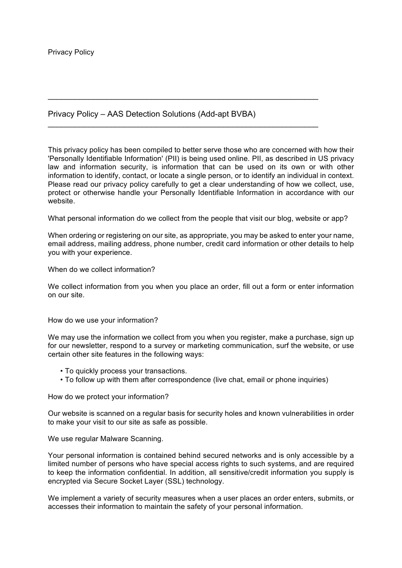## Privacy Policy – AAS Detection Solutions (Add-apt BVBA)

 $\overline{a}$  , and the contribution of the contribution of the contribution of the contribution of the contribution of the contribution of the contribution of the contribution of the contribution of the contribution of the co

 $\overline{a}$  , and the contribution of the contribution of the contribution of the contribution of the contribution of the contribution of the contribution of the contribution of the contribution of the contribution of the co

This privacy policy has been compiled to better serve those who are concerned with how their 'Personally Identifiable Information' (PII) is being used online. PII, as described in US privacy law and information security, is information that can be used on its own or with other information to identify, contact, or locate a single person, or to identify an individual in context. Please read our privacy policy carefully to get a clear understanding of how we collect, use, protect or otherwise handle your Personally Identifiable Information in accordance with our website.

What personal information do we collect from the people that visit our blog, website or app?

When ordering or registering on our site, as appropriate, you may be asked to enter your name, email address, mailing address, phone number, credit card information or other details to help you with your experience.

When do we collect information?

We collect information from you when you place an order, fill out a form or enter information on our site.

How do we use your information?

We may use the information we collect from you when you register, make a purchase, sign up for our newsletter, respond to a survey or marketing communication, surf the website, or use certain other site features in the following ways:

- To quickly process your transactions.
- To follow up with them after correspondence (live chat, email or phone inquiries)

How do we protect your information?

Our website is scanned on a regular basis for security holes and known vulnerabilities in order to make your visit to our site as safe as possible.

We use regular Malware Scanning.

Your personal information is contained behind secured networks and is only accessible by a limited number of persons who have special access rights to such systems, and are required to keep the information confidential. In addition, all sensitive/credit information you supply is encrypted via Secure Socket Layer (SSL) technology.

We implement a variety of security measures when a user places an order enters, submits, or accesses their information to maintain the safety of your personal information.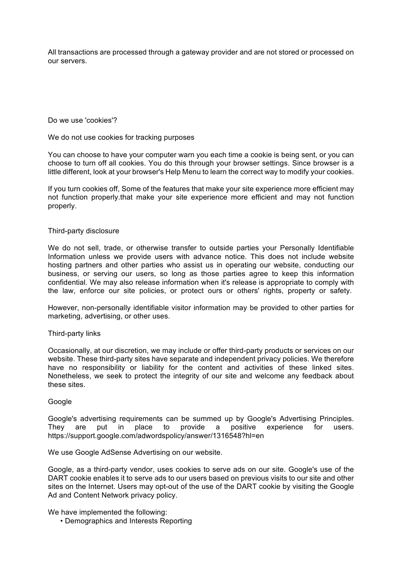All transactions are processed through a gateway provider and are not stored or processed on our servers.

Do we use 'cookies'?

We do not use cookies for tracking purposes

You can choose to have your computer warn you each time a cookie is being sent, or you can choose to turn off all cookies. You do this through your browser settings. Since browser is a little different, look at your browser's Help Menu to learn the correct way to modify your cookies.

If you turn cookies off, Some of the features that make your site experience more efficient may not function properly.that make your site experience more efficient and may not function properly.

## Third-party disclosure

We do not sell, trade, or otherwise transfer to outside parties your Personally Identifiable Information unless we provide users with advance notice. This does not include website hosting partners and other parties who assist us in operating our website, conducting our business, or serving our users, so long as those parties agree to keep this information confidential. We may also release information when it's release is appropriate to comply with the law, enforce our site policies, or protect ours or others' rights, property or safety.

However, non-personally identifiable visitor information may be provided to other parties for marketing, advertising, or other uses.

## Third-party links

Occasionally, at our discretion, we may include or offer third-party products or services on our website. These third-party sites have separate and independent privacy policies. We therefore have no responsibility or liability for the content and activities of these linked sites. Nonetheless, we seek to protect the integrity of our site and welcome any feedback about these sites.

## Google

Google's advertising requirements can be summed up by Google's Advertising Principles. They are put in place to provide a positive experience for users. https://support.google.com/adwordspolicy/answer/1316548?hl=en

We use Google AdSense Advertising on our website.

Google, as a third-party vendor, uses cookies to serve ads on our site. Google's use of the DART cookie enables it to serve ads to our users based on previous visits to our site and other sites on the Internet. Users may opt-out of the use of the DART cookie by visiting the Google Ad and Content Network privacy policy.

We have implemented the following:

• Demographics and Interests Reporting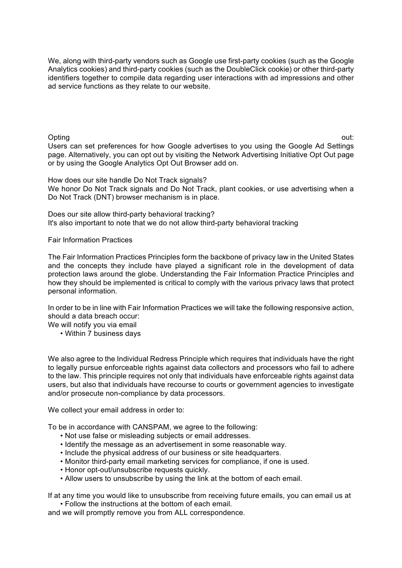We, along with third-party vendors such as Google use first-party cookies (such as the Google Analytics cookies) and third-party cookies (such as the DoubleClick cookie) or other third-party identifiers together to compile data regarding user interactions with ad impressions and other ad service functions as they relate to our website.

Opting out: the contract of the contract of the contract of the contract of the contract of the contract of the Users can set preferences for how Google advertises to you using the Google Ad Settings page. Alternatively, you can opt out by visiting the Network Advertising Initiative Opt Out page or by using the Google Analytics Opt Out Browser add on.

How does our site handle Do Not Track signals? We honor Do Not Track signals and Do Not Track, plant cookies, or use advertising when a Do Not Track (DNT) browser mechanism is in place.

Does our site allow third-party behavioral tracking? It's also important to note that we do not allow third-party behavioral tracking

Fair Information Practices

The Fair Information Practices Principles form the backbone of privacy law in the United States and the concepts they include have played a significant role in the development of data protection laws around the globe. Understanding the Fair Information Practice Principles and how they should be implemented is critical to comply with the various privacy laws that protect personal information.

In order to be in line with Fair Information Practices we will take the following responsive action, should a data breach occur:

We will notify you via email

• Within 7 business days

We also agree to the Individual Redress Principle which requires that individuals have the right to legally pursue enforceable rights against data collectors and processors who fail to adhere to the law. This principle requires not only that individuals have enforceable rights against data users, but also that individuals have recourse to courts or government agencies to investigate and/or prosecute non-compliance by data processors.

We collect your email address in order to:

To be in accordance with CANSPAM, we agree to the following:

- Not use false or misleading subjects or email addresses.
- Identify the message as an advertisement in some reasonable way.
- Include the physical address of our business or site headquarters.
- Monitor third-party email marketing services for compliance, if one is used.
- Honor opt-out/unsubscribe requests quickly.
- Allow users to unsubscribe by using the link at the bottom of each email.

If at any time you would like to unsubscribe from receiving future emails, you can email us at • Follow the instructions at the bottom of each email.

and we will promptly remove you from ALL correspondence.